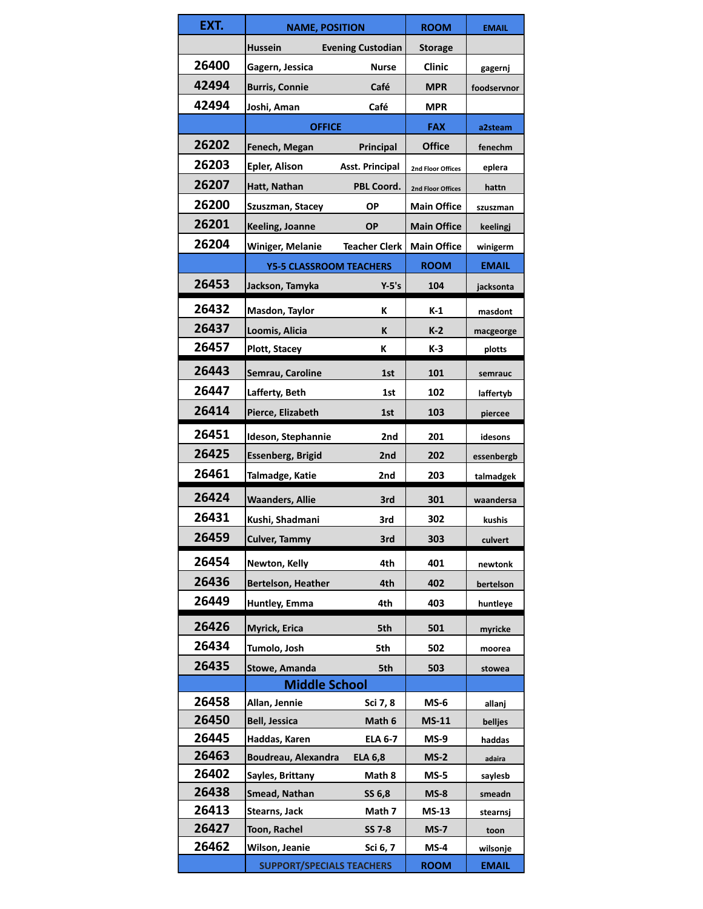| EXT.  | <b>NAME, POSITION</b>            |                          | <b>ROOM</b>        | <b>EMAIL</b>        |
|-------|----------------------------------|--------------------------|--------------------|---------------------|
|       | <b>Hussein</b>                   | <b>Evening Custodian</b> | <b>Storage</b>     |                     |
| 26400 | Gagern, Jessica                  | <b>Nurse</b>             | Clinic             | gagernj             |
| 42494 | <b>Burris, Connie</b>            | Café                     | MPR                | foodservnor         |
| 42494 | Joshi, Aman                      | Café                     | <b>MPR</b>         |                     |
|       | <b>OFFICE</b>                    |                          | <b>FAX</b>         | a2steam             |
| 26202 | Fenech, Megan                    | <b>Principal</b>         | <b>Office</b>      | fenechm             |
| 26203 | <b>Epler, Alison</b>             | <b>Asst. Principal</b>   | 2nd Floor Offices  | eplera              |
| 26207 | Hatt, Nathan                     | PBL Coord.               | 2nd Floor Offices  | hattn               |
| 26200 | Szuszman, Stacey                 | ΟP                       | <b>Main Office</b> | szuszman            |
| 26201 | Keeling, Joanne                  | <b>OP</b>                | <b>Main Office</b> | keelingj            |
| 26204 | Winiger, Melanie                 | <b>Teacher Clerk</b>     | <b>Main Office</b> | winigerm            |
|       | <b>Y5-5 CLASSROOM TEACHERS</b>   |                          | <b>ROOM</b>        | <b>EMAIL</b>        |
| 26453 | Jackson, Tamyka                  | $Y-5's$                  | 104                | jacksonta           |
| 26432 | Masdon, Taylor                   | ĸ                        | K-1                | masdont             |
| 26437 | Loomis, Alicia                   | ĸ                        | $K-2$              |                     |
| 26457 | Plott, Stacey                    | ĸ                        | $K-3$              | macgeorge<br>plotts |
| 26443 |                                  |                          |                    |                     |
| 26447 | Semrau, Caroline                 | 1st                      | 101                | semrauc             |
|       | Lafferty, Beth                   | 1st                      | 102                | laffertyb           |
| 26414 | Pierce, Elizabeth                | 1st                      | 103                | piercee             |
| 26451 | Ideson, Stephannie               | 2nd                      | 201                | idesons             |
| 26425 | <b>Essenberg, Brigid</b>         | 2nd                      | 202                | essenbergb          |
| 26461 | Talmadge, Katie                  | 2nd                      | 203                | talmadgek           |
| 26424 | <b>Waanders, Allie</b>           | 3rd                      | 301                | waandersa           |
| 26431 | Kushi, Shadmani                  | 3rd                      | 302                | kushis              |
| 26459 | <b>Culver, Tammy</b>             | 3rd                      | 303                | culvert             |
| 26454 | Newton, Kelly                    | 4th                      | 401                | newtonk             |
| 26436 | Bertelson, Heather               | 4th                      | 402                | bertelson           |
| 26449 | Huntley, Emma                    | 4th                      | 403                | huntleye            |
| 26426 | Myrick, Erica                    | 5th                      | 501                | myricke             |
| 26434 | Tumolo, Josh                     | 5th                      | 502                | moorea              |
| 26435 | Stowe, Amanda                    | 5th                      | 503                |                     |
|       | <b>Middle School</b>             |                          |                    | stowea              |
| 26458 | Allan, Jennie                    | Sci 7, 8                 | MS-6               | allanj              |
| 26450 | <b>Bell, Jessica</b>             | Math 6                   | <b>MS-11</b>       | belljes             |
| 26445 | Haddas, Karen                    | <b>ELA 6-7</b>           | MS-9               | haddas              |
| 26463 | Boudreau, Alexandra              | <b>ELA 6,8</b>           | $MS-2$             | adaira              |
| 26402 | Sayles, Brittany                 | Math 8                   | $MS-5$             | saylesb             |
| 26438 | Smead, Nathan                    | SS 6,8                   | $MS-8$             | smeadn              |
| 26413 | Stearns, Jack                    | Math 7                   | MS-13              | stearnsj            |
| 26427 | Toon, Rachel                     | <b>SS 7-8</b>            | $MS-7$             | toon                |
| 26462 | Wilson, Jeanie                   | Sci 6, 7                 | $MS-4$             | wilsonje            |
|       | <b>SUPPORT/SPECIALS TEACHERS</b> |                          | <b>ROOM</b>        | <b>EMAIL</b>        |